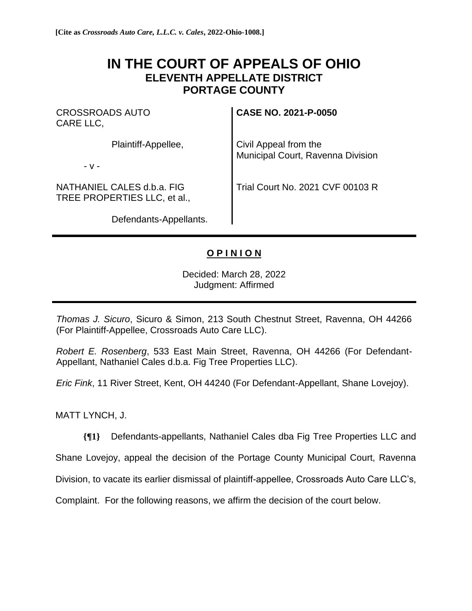## **IN THE COURT OF APPEALS OF OHIO ELEVENTH APPELLATE DISTRICT PORTAGE COUNTY**

CROSSROADS AUTO CARE LLC,

Plaintiff-Appellee,

- v -

NATHANIEL CALES d.b.a. FIG TREE PROPERTIES LLC, et al.,

Defendants-Appellants.

**CASE NO. 2021-P-0050**

Civil Appeal from the Municipal Court, Ravenna Division

Trial Court No. 2021 CVF 00103 R

## **O P I N I O N**

Decided: March 28, 2022 Judgment: Affirmed

*Thomas J. Sicuro*, Sicuro & Simon, 213 South Chestnut Street, Ravenna, OH 44266 (For Plaintiff-Appellee, Crossroads Auto Care LLC).

*Robert E. Rosenberg*, 533 East Main Street, Ravenna, OH 44266 (For Defendant-Appellant, Nathaniel Cales d.b.a. Fig Tree Properties LLC).

*Eric Fink*, 11 River Street, Kent, OH 44240 (For Defendant-Appellant, Shane Lovejoy).

MATT LYNCH, J.

**{¶1}** Defendants-appellants, Nathaniel Cales dba Fig Tree Properties LLC and

Shane Lovejoy, appeal the decision of the Portage County Municipal Court, Ravenna

Division, to vacate its earlier dismissal of plaintiff-appellee, Crossroads Auto Care LLC's,

Complaint. For the following reasons, we affirm the decision of the court below.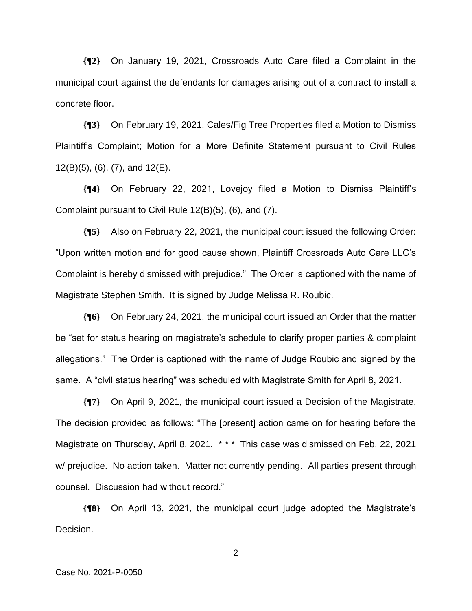**{¶2}** On January 19, 2021, Crossroads Auto Care filed a Complaint in the municipal court against the defendants for damages arising out of a contract to install a concrete floor.

**{¶3}** On February 19, 2021, Cales/Fig Tree Properties filed a Motion to Dismiss Plaintiff's Complaint; Motion for a More Definite Statement pursuant to Civil Rules 12(B)(5), (6), (7), and 12(E).

**{¶4}** On February 22, 2021, Lovejoy filed a Motion to Dismiss Plaintiff's Complaint pursuant to Civil Rule 12(B)(5), (6), and (7).

**{¶5}** Also on February 22, 2021, the municipal court issued the following Order: "Upon written motion and for good cause shown, Plaintiff Crossroads Auto Care LLC's Complaint is hereby dismissed with prejudice." The Order is captioned with the name of Magistrate Stephen Smith. It is signed by Judge Melissa R. Roubic.

**{¶6}** On February 24, 2021, the municipal court issued an Order that the matter be "set for status hearing on magistrate's schedule to clarify proper parties & complaint allegations." The Order is captioned with the name of Judge Roubic and signed by the same. A "civil status hearing" was scheduled with Magistrate Smith for April 8, 2021.

**{¶7}** On April 9, 2021, the municipal court issued a Decision of the Magistrate. The decision provided as follows: "The [present] action came on for hearing before the Magistrate on Thursday, April 8, 2021. \* \* \* This case was dismissed on Feb. 22, 2021 w/ prejudice. No action taken. Matter not currently pending. All parties present through counsel. Discussion had without record."

**{¶8}** On April 13, 2021, the municipal court judge adopted the Magistrate's Decision.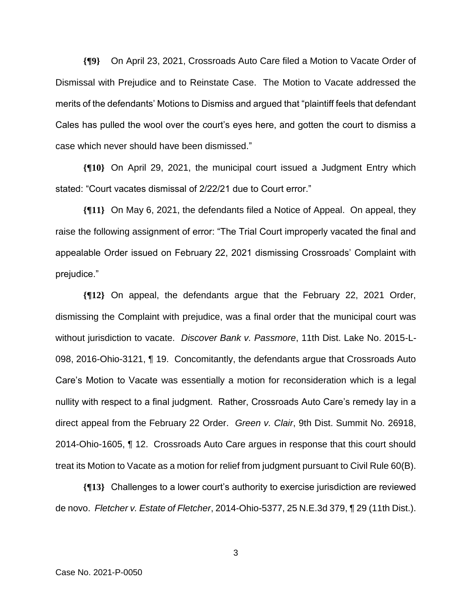**{¶9}** On April 23, 2021, Crossroads Auto Care filed a Motion to Vacate Order of Dismissal with Prejudice and to Reinstate Case. The Motion to Vacate addressed the merits of the defendants' Motions to Dismiss and argued that "plaintiff feels that defendant Cales has pulled the wool over the court's eyes here, and gotten the court to dismiss a case which never should have been dismissed."

**{¶10}** On April 29, 2021, the municipal court issued a Judgment Entry which stated: "Court vacates dismissal of 2/22/21 due to Court error."

**{¶11}** On May 6, 2021, the defendants filed a Notice of Appeal. On appeal, they raise the following assignment of error: "The Trial Court improperly vacated the final and appealable Order issued on February 22, 2021 dismissing Crossroads' Complaint with prejudice."

**{¶12}** On appeal, the defendants argue that the February 22, 2021 Order, dismissing the Complaint with prejudice, was a final order that the municipal court was without jurisdiction to vacate. *Discover Bank v. Passmore*, 11th Dist. Lake No. 2015-L-098, 2016-Ohio-3121, ¶ 19. Concomitantly, the defendants argue that Crossroads Auto Care's Motion to Vacate was essentially a motion for reconsideration which is a legal nullity with respect to a final judgment. Rather, Crossroads Auto Care's remedy lay in a direct appeal from the February 22 Order. *Green v. Clair*, 9th Dist. Summit No. 26918, 2014-Ohio-1605, ¶ 12. Crossroads Auto Care argues in response that this court should treat its Motion to Vacate as a motion for relief from judgment pursuant to Civil Rule 60(B).

**{¶13}** Challenges to a lower court's authority to exercise jurisdiction are reviewed de novo. *Fletcher v. Estate of Fletcher*, 2014-Ohio-5377, 25 N.E.3d 379, ¶ 29 (11th Dist.).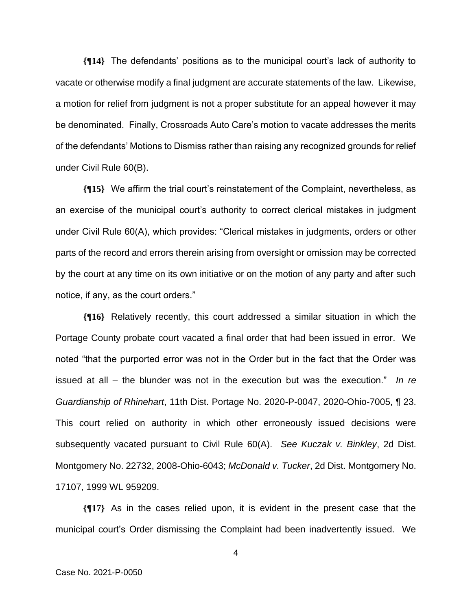**{¶14}** The defendants' positions as to the municipal court's lack of authority to vacate or otherwise modify a final judgment are accurate statements of the law. Likewise, a motion for relief from judgment is not a proper substitute for an appeal however it may be denominated. Finally, Crossroads Auto Care's motion to vacate addresses the merits of the defendants' Motions to Dismiss rather than raising any recognized grounds for relief under Civil Rule 60(B).

**{¶15}** We affirm the trial court's reinstatement of the Complaint, nevertheless, as an exercise of the municipal court's authority to correct clerical mistakes in judgment under Civil Rule 60(A), which provides: "Clerical mistakes in judgments, orders or other parts of the record and errors therein arising from oversight or omission may be corrected by the court at any time on its own initiative or on the motion of any party and after such notice, if any, as the court orders."

**{¶16}** Relatively recently, this court addressed a similar situation in which the Portage County probate court vacated a final order that had been issued in error. We noted "that the purported error was not in the Order but in the fact that the Order was issued at all – the blunder was not in the execution but was the execution." *In re Guardianship of Rhinehart*, 11th Dist. Portage No. 2020-P-0047, 2020-Ohio-7005, ¶ 23. This court relied on authority in which other erroneously issued decisions were subsequently vacated pursuant to Civil Rule 60(A). *See Kuczak v. Binkley*, 2d Dist. Montgomery No. 22732, 2008-Ohio-6043; *McDonald v. Tucker*, 2d Dist. Montgomery No. 17107, 1999 WL 959209.

**{¶17}** As in the cases relied upon, it is evident in the present case that the municipal court's Order dismissing the Complaint had been inadvertently issued. We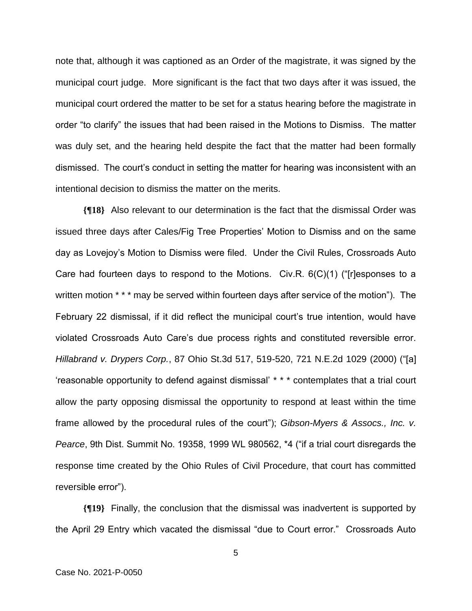note that, although it was captioned as an Order of the magistrate, it was signed by the municipal court judge. More significant is the fact that two days after it was issued, the municipal court ordered the matter to be set for a status hearing before the magistrate in order "to clarify" the issues that had been raised in the Motions to Dismiss. The matter was duly set, and the hearing held despite the fact that the matter had been formally dismissed. The court's conduct in setting the matter for hearing was inconsistent with an intentional decision to dismiss the matter on the merits.

**{¶18}** Also relevant to our determination is the fact that the dismissal Order was issued three days after Cales/Fig Tree Properties' Motion to Dismiss and on the same day as Lovejoy's Motion to Dismiss were filed. Under the Civil Rules, Crossroads Auto Care had fourteen days to respond to the Motions. Civ.R.  $6(C)(1)$  ("[r]esponses to a written motion \* \* \* may be served within fourteen days after service of the motion"). The February 22 dismissal, if it did reflect the municipal court's true intention, would have violated Crossroads Auto Care's due process rights and constituted reversible error. *Hillabrand v. Drypers Corp.*, 87 Ohio St.3d 517, 519-520, 721 N.E.2d 1029 (2000) ("[a] 'reasonable opportunity to defend against dismissal' \* \* \* contemplates that a trial court allow the party opposing dismissal the opportunity to respond at least within the time frame allowed by the procedural rules of the court"); *Gibson-Myers & Assocs., Inc. v. Pearce*, 9th Dist. Summit No. 19358, 1999 WL 980562, \*4 ("if a trial court disregards the response time created by the Ohio Rules of Civil Procedure, that court has committed reversible error").

**{¶19}** Finally, the conclusion that the dismissal was inadvertent is supported by the April 29 Entry which vacated the dismissal "due to Court error." Crossroads Auto